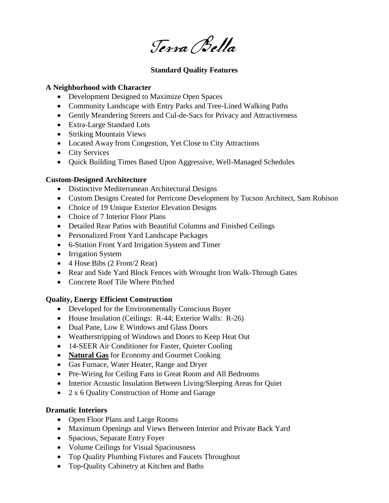Terra Bella

## **Standard Quality Features**

### **A Neighborhood with Character**

- Development Designed to Maximize Open Spaces
- Community Landscape with Entry Parks and Tree-Lined Walking Paths
- Gently Meandering Streets and Cul-de-Sacs for Privacy and Attractiveness
- Extra-Large Standard Lots
- Striking Mountain Views
- Located Away from Congestion, Yet Close to City Attractions
- City Services
- Ouick Building Times Based Upon Aggressive, Well-Managed Schedules

# **Custom-Designed Architecture**

- Distinctive Mediterranean Architectural Designs
- Custom Designs Created for Perricone Development by Tucson Architect, Sam Robison
- Choice of 19 Unique Exterior Elevation Designs
- Choice of 7 Interior Floor Plans
- Detailed Rear Patios with Beautiful Columns and Finished Ceilings
- Personalized Front Yard Landscape Packages
- 6-Station Front Yard Irrigation System and Timer
- Irrigation System
- 4 Hose Bibs (2 Front/2 Rear)
- Rear and Side Yard Block Fences with Wrought Iron Walk-Through Gates
- Concrete Roof Tile Where Pitched

# **Quality, Energy Efficient Construction**

- Developed for the Environmentally Conscious Buyer
- House Insulation (Ceilings: R-44; Exterior Walls: R-26)
- Dual Pane, Low E Windows and Glass Doors
- Weatherstripping of Windows and Doors to Keep Heat Out
- 14-SEER Air Conditioner for Faster, Quieter Cooling
- **Natural Gas** for Economy and Gourmet Cooking
- Gas Furnace, Water Heater, Range and Dryer
- Pre-Wiring for Ceiling Fans in Great Room and All Bedrooms
- Interior Acoustic Insulation Between Living/Sleeping Areas for Quiet
- 2 x 6 Quality Construction of Home and Garage

# **Dramatic Interiors**

- Open Floor Plans and Large Rooms
- Maximum Openings and Views Between Interior and Private Back Yard
- Spacious, Separate Entry Foyer
- Volume Ceilings for Visual Spaciousness
- Top Quality Plumbing Fixtures and Faucets Throughout
- Top-Quality Cabinetry at Kitchen and Baths